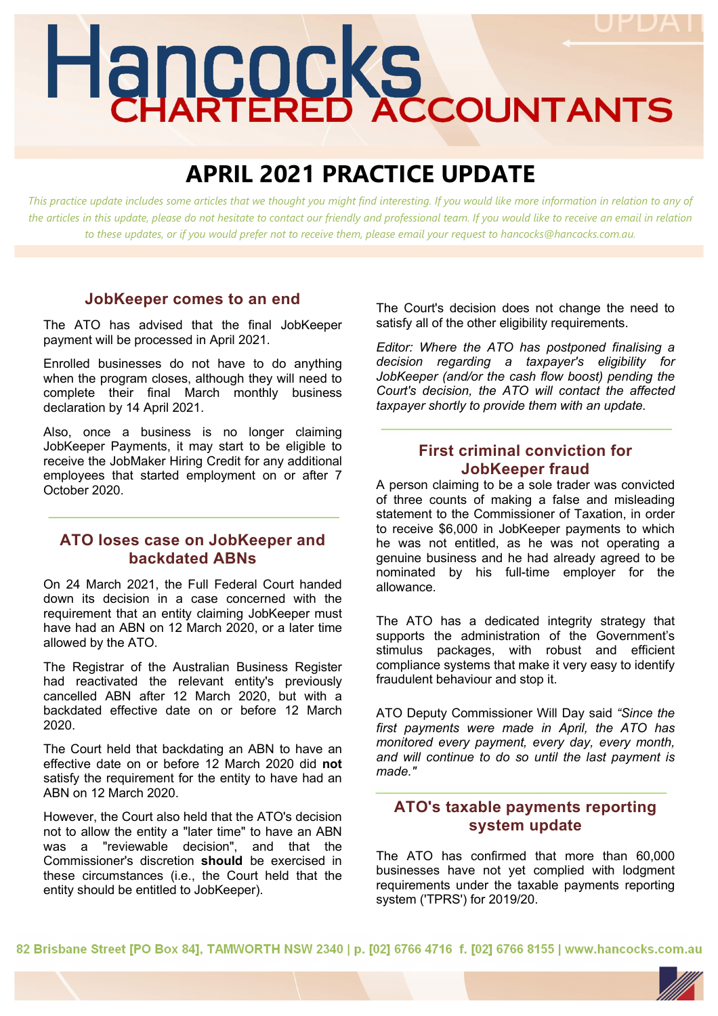# Hancocks

# **APRIL 2021 PRACTICE UPDATE**

This practice update includes some articles that we thought you might find interesting. If you would like more information in relation to any of *the articles in this update, please do not hesitate to contact our friendly and professional team. If you would like to receive an email in relation to these updates, or if you would prefer not to receive them, please email your request to hancocks@hancocks.com.au.* 

#### **JobKeeper comes to an end**

The ATO has advised that the final JobKeeper payment will be processed in April 2021.

Enrolled businesses do not have to do anything when the program closes, although they will need to complete their final March monthly business declaration by 14 April 2021.

Also, once a business is no longer claiming JobKeeper Payments, it may start to be eligible to receive the JobMaker Hiring Credit for any additional employees that started employment on or after 7 October 2020.

#### **ATO loses case on JobKeeper and backdated ABNs**

On 24 March 2021, the Full Federal Court handed down its decision in a case concerned with the requirement that an entity claiming JobKeeper must have had an ABN on 12 March 2020, or a later time allowed by the ATO.

The Registrar of the Australian Business Register had reactivated the relevant entity's previously cancelled ABN after 12 March 2020, but with a backdated effective date on or before 12 March 2020.

The Court held that backdating an ABN to have an effective date on or before 12 March 2020 did **not**  satisfy the requirement for the entity to have had an ABN on 12 March 2020.

However, the Court also held that the ATO's decision not to allow the entity a "later time" to have an ABN was a "reviewable decision", and that the Commissioner's discretion **should** be exercised in these circumstances (i.e., the Court held that the entity should be entitled to JobKeeper).

The Court's decision does not change the need to satisfy all of the other eligibility requirements.

*Editor: Where the ATO has postponed finalising a decision regarding a taxpayer's eligibility for JobKeeper (and/or the cash flow boost) pending the Court's decision, the ATO will contact the affected taxpayer shortly to provide them with an update.* 

### **First criminal conviction for JobKeeper fraud**

A person claiming to be a sole trader was convicted of three counts of making a false and misleading statement to the Commissioner of Taxation, in order to receive \$6,000 in JobKeeper payments to which he was not entitled, as he was not operating a genuine business and he had already agreed to be nominated by his full-time employer for the allowance.

The ATO has a dedicated integrity strategy that supports the administration of the Government's stimulus packages, with robust and efficient compliance systems that make it very easy to identify fraudulent behaviour and stop it.

ATO Deputy Commissioner Will Day said *"Since the first payments were made in April, the ATO has monitored every payment, every day, every month, and will continue to do so until the last payment is made."* 

# **ATO's taxable payments reporting system update**

The ATO has confirmed that more than 60,000 businesses have not yet complied with lodgment requirements under the taxable payments reporting system ('TPRS') for 2019/20.

82 Brisbane Street IPO Box 841, TAMWORTH NSW 2340 | p. [02] 6766 4716 f. [02] 6766 8155 | www.hancocks.com.au